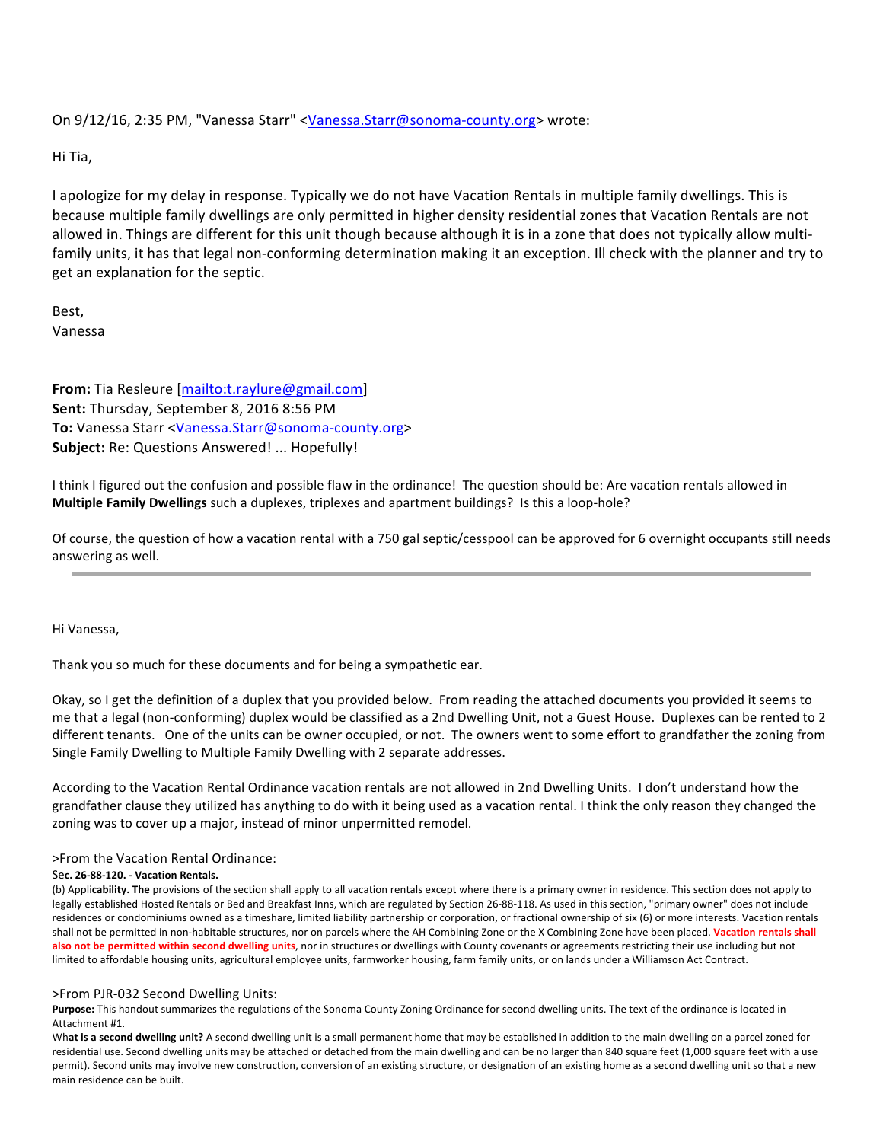On 9/12/16, 2:35 PM, "Vanessa Starr" <Vanessa.Starr@sonoma-county.org> wrote:

Hi Tia,

I apologize for my delay in response. Typically we do not have Vacation Rentals in multiple family dwellings. This is because multiple family dwellings are only permitted in higher density residential zones that Vacation Rentals are not allowed in. Things are different for this unit though because although it is in a zone that does not typically allow multifamily units, it has that legal non-conforming determination making it an exception. Ill check with the planner and try to get an explanation for the septic.

Best, Vanessa

From: Tia Resleure [mailto:t.raylure@gmail.com] **Sent:** Thursday, September 8, 2016 8:56 PM To: Vanessa Starr <Vanessa.Starr@sonoma-county.org> Subject: Re: Questions Answered! ... Hopefully!

I think I figured out the confusion and possible flaw in the ordinance! The question should be: Are vacation rentals allowed in **Multiple Family Dwellings** such a duplexes, triplexes and apartment buildings? Is this a loop-hole?

Of course, the question of how a vacation rental with a 750 gal septic/cesspool can be approved for 6 overnight occupants still needs answering as well.

Hi Vanessa.

Thank you so much for these documents and for being a sympathetic ear.

Okay, so I get the definition of a duplex that you provided below. From reading the attached documents you provided it seems to me that a legal (non-conforming) duplex would be classified as a 2nd Dwelling Unit, not a Guest House. Duplexes can be rented to 2 different tenants. One of the units can be owner occupied, or not. The owners went to some effort to grandfather the zoning from Single Family Dwelling to Multiple Family Dwelling with 2 separate addresses.

According to the Vacation Rental Ordinance vacation rentals are not allowed in 2nd Dwelling Units. I don't understand how the grandfather clause they utilized has anything to do with it being used as a vacation rental. I think the only reason they changed the zoning was to cover up a major, instead of minor unpermitted remodel.

>From the Vacation Rental Ordinance:

## Se**c. 26-88-120. - Vacation Rentals.**

(b) Applicability. The provisions of the section shall apply to all vacation rentals except where there is a primary owner in residence. This section does not apply to legally established Hosted Rentals or Bed and Breakfast Inns, which are regulated by Section 26-88-118. As used in this section, "primary owner" does not include residences or condominiums owned as a timeshare, limited liability partnership or corporation, or fractional ownership of six (6) or more interests. Vacation rentals shall not be permitted in non-habitable structures, nor on parcels where the AH Combining Zone or the X Combining Zone have been placed. Vacation rentals shall also not be permitted within second dwelling units, nor in structures or dwellings with County covenants or agreements restricting their use including but not limited to affordable housing units, agricultural employee units, farmworker housing, farm family units, or on lands under a Williamson Act Contract.

## >From PJR-032 Second Dwelling Units:

Purpose: This handout summarizes the regulations of the Sonoma County Zoning Ordinance for second dwelling units. The text of the ordinance is located in Attachment #1.

What is a second dwelling unit? A second dwelling unit is a small permanent home that may be established in addition to the main dwelling on a parcel zoned for residential use. Second dwelling units may be attached or detached from the main dwelling and can be no larger than 840 square feet (1,000 square feet with a use permit). Second units may involve new construction, conversion of an existing structure, or designation of an existing home as a second dwelling unit so that a new main residence can be built.